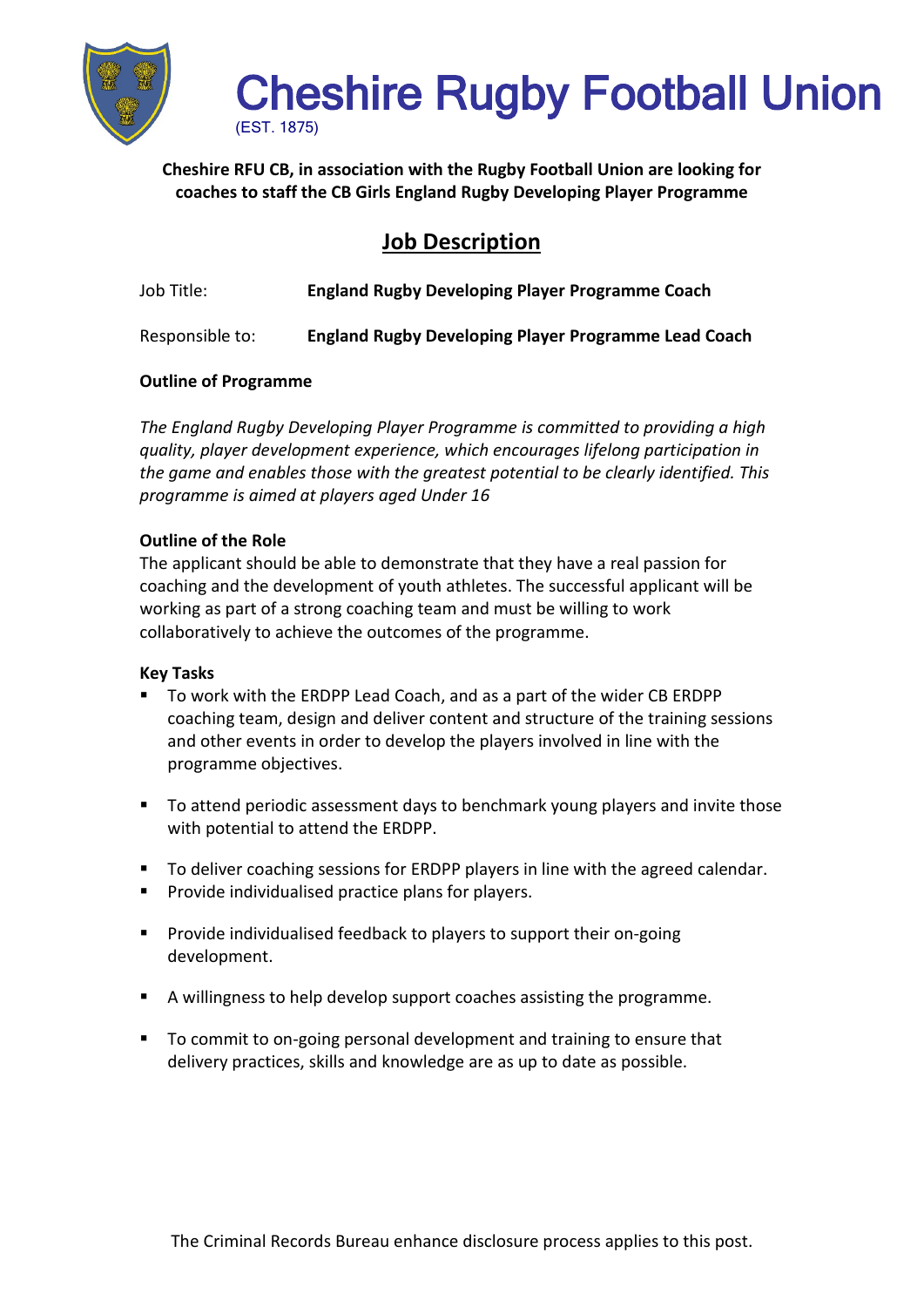

# Cheshire Rugby Football Union

**Cheshire RFU CB, in association with the Rugby Football Union are looking for coaches to staff the CB Girls England Rugby Developing Player Programme**

**Job Description**

| Job Title: | <b>England Rugby Developing Player Programme Coach</b> |
|------------|--------------------------------------------------------|
|------------|--------------------------------------------------------|

Responsible to: **England Rugby Developing Player Programme Lead Coach**

## **Outline of Programme**

*The England Rugby Developing Player Programme is committed to providing a high quality, player development experience, which encourages lifelong participation in the game and enables those with the greatest potential to be clearly identified. This programme is aimed at players aged Under 16*

### **Outline of the Role**

The applicant should be able to demonstrate that they have a real passion for coaching and the development of youth athletes. The successful applicant will be working as part of a strong coaching team and must be willing to work collaboratively to achieve the outcomes of the programme.

### **Key Tasks**

- To work with the ERDPP Lead Coach, and as a part of the wider CB ERDPP coaching team, design and deliver content and structure of the training sessions and other events in order to develop the players involved in line with the programme objectives.
- To attend periodic assessment days to benchmark young players and invite those with potential to attend the ERDPP.
- To deliver coaching sessions for ERDPP players in line with the agreed calendar.
- **Provide individualised practice plans for players.**
- **Provide individualised feedback to players to support their on-going** development.
- A willingness to help develop support coaches assisting the programme.
- To commit to on-going personal development and training to ensure that delivery practices, skills and knowledge are as up to date as possible.